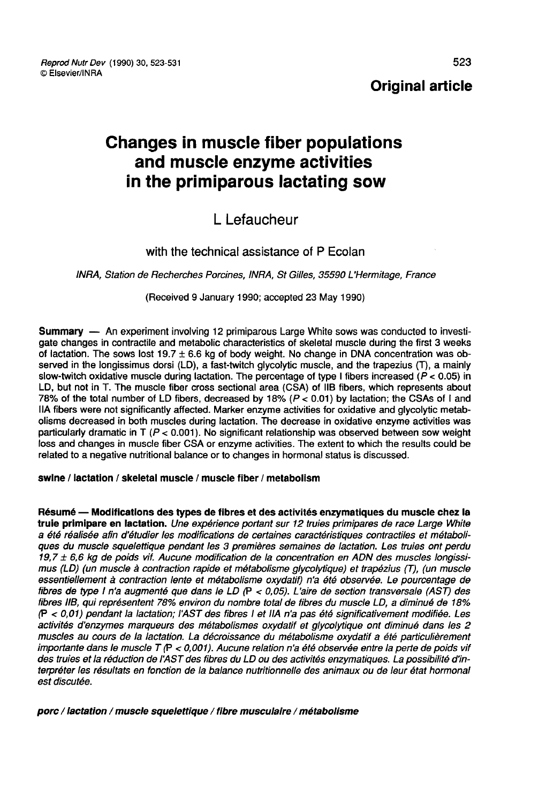Original article

# Changes in muscle fiber populations and muscle enzyme activities in the primiparous lactating sow

# L Lefaucheur

# with the technical assistance of P Ecolan

INRA, Station de Recherches Porcines, INRA, St Gilles, 35590 L'Hermitage, France

(Received 9 January 1990; accepted 23 May 1990)

Summary ― An experiment involving 12 primiparous Large White sows was conducted to investigate changes in contractile and metabolic characteristics of skeletal muscle during the first 3 weeks of lactation. The sows lost 19.7  $\pm$  6.6 kg of body weight. No change in DNA concentration was observed in the longissimus dorsi (LD), a fast-twitch glycolytic muscle, and the trapezius (T), a mainly slow-twitch oxidative muscle during lactation. The percentage of type I fibers increased ( $P < 0.05$ ) in LD, but not in T. The muscle fiber cross sectional area (CSA) of IIB fibers, which represents about 78% of the total number of LD fibers, decreased by 18% ( $P < 0.01$ ) by lactation; the CSAs of I and IIA fibers were not significantly affected. Marker enzyme activities for oxidative and glycolytic metabolisms decreased in both muscles during lactation. The decrease in oxidative enzyme activities was particularly dramatic in T ( $P < 0.001$ ). No significant relationship was observed between sow weight loss and changes in muscle fiber CSA or enzyme activities. The extent to which the results could be related to a negative nutritional balance or to changes in hormonal status is discussed.

# swine / lactation / skeletal muscle / muscle fiber / metabolism

Résumé ― Modifications des types de fibres et des activités enzymatiques du muscle chez la truie primipare en lactation. Une expérience portant sur 12 truies primipares de race Large White a été réalisée afin d'étudier les modifications de certaines caractéristiques contractiles et métaboliques du muscle squelettique pendant les 3 premières semaines de lactation. Les truies ont perdu<br>19,7 ± 6,6 kg de poids vif. Aucune modification de la concentration en ADN des muscles longissimus (LD) (un muscle à contraction rapide et métabolisme glycolytique) et trapézius (T), (un muscle essentiellement à contraction lente et métabolisme oxydatif) n'a été observée. Le pourcentage de fibres de type I n'a augmenté que dans le LD (P < 0,05). L'aire de section transversale (AST) des fibres IIB, qui représentent 78% environ du nombre total de fibres du muscle LD, a diminué de 18°/ (P < 0,01) pendant la lactation; IAST des fibres 1 et IIA n'a pas été significativement modifiée. Les activités d'enzymes marqueurs des métabolismes oxydatif et glycolytique ont diminué dans les 2 muscles au cours de la lactation. La décroissance du métabolisme oxydatif a été particulièrement importante dans le muscle T (P < 0,001). Aucune relation n'a été observée entre la perte de poids vif des truies et la réduction de l'AST des fibres du LD ou des activités enzymatiques. La possibilité d'interpréter les résultats en fonction de la balance nutritionnelle des animaux ou de leur état hormonal est discutée.

porc / lactation / muscle squelettique / fibre musculaire / métabolisme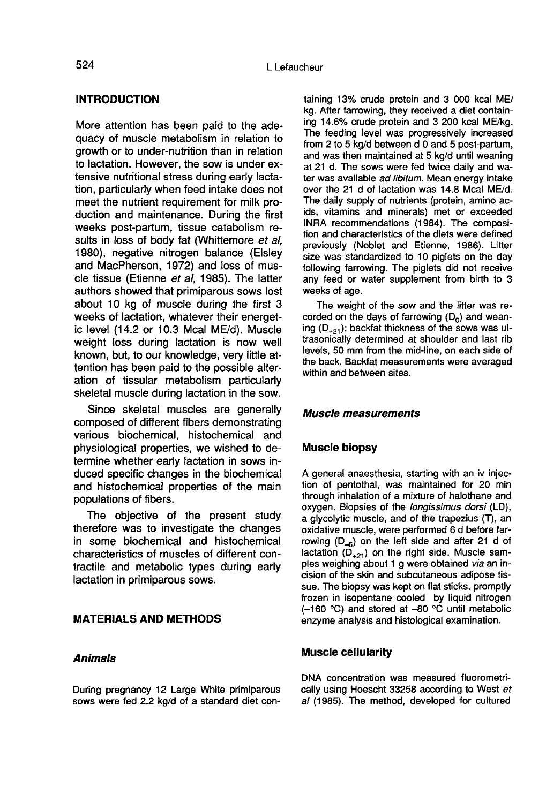#### INTRODUCTION

More attention has been paid to the adequacy of muscle metabolism in relation to growth or to under-nutrition than in relation to lactation. However, the sow is under extensive nutritional stress during early lactation, particularly when feed intake does not meet the nutrient requirement for milk production and maintenance. During the first weeks post-partum, tissue catabolism results in loss of body fat (Whittemore et al, 1980), negative nitrogen balance (Elsley and MacPherson, 1972) and loss of muscle tissue (Etienne et al, 1985). The latter authors showed that primiparous sows lost about 10 kg of muscle during the first 3 weeks of lactation, whatever their energetic level (14.2 or 10.3 Mcal ME/d). Muscle weight loss during lactation is now well known, but, to our knowledge, very little attention has been paid to the possible alteration of tissular metabolism particularly skeletal muscle during lactation in the sow.

Since skeletal muscles are generally composed of different fibers demonstrating various biochemical, histochemical and physiological properties, we wished to determine whether early lactation in sows induced specific changes in the biochemical and histochemical properties of the main populations of fibers.

The objective of the present study therefore was to investigate the changes in some biochemical and histochemical characteristics of muscles of different contractile and metabolic types during early lactation in primiparous sows.

#### MATERIALS AND METHODS

#### Animals

During pregnancy 12 Large White primiparous sows were fed 2.2 kg/d of a standard diet con-

taining 13% crude protein and 3 000 kcal ME/ kg. After farrowing, they received a diet containing 14.6% crude protein and 3 200 kcal ME/kg. The feeding level was progressively increased from 2 to 5 kg/d between d 0 and 5 post-partum, and was then maintained at 5 kg/d until weaning at 21 d. The sows were fed twice daily and water was available ad libitum. Mean energy intake over the 21 d of lactation was 14.8 Mcal ME/d. The daily supply of nutrients (protein, amino acids, vitamins and minerals) met or exceeded INRA recommendations (1984). The composition and characteristics of the diets were defined previously (Noblet and Etienne, 1986). Litter size was standardized to 10 piglets on the day following farrowing. The piglets did not receive any feed or water supplement from birth to 3 weeks of age.

The weight of the sow and the litter was recorded on the days of farrowing  $(D_0)$  and weaning ( $D_{+21}$ ); backfat thickness of the sows was ultrasonically determined at shoulder and last rib levels, 50 mm from the mid-line, on each side of the back. Backfat measurements were averaged within and between sites.

#### Muscle measurements

#### Muscle biopsy

A general anaesthesia, starting with an iv injection of pentothal, was maintained for 20 min through inhalation of a mixture of halothane and oxygen. Biopsies of the longissimus dorsi (LD), a glycolytic muscle, and of the trapezius (T), an oxidative muscle, were performed 6 d before farrowing  $(D_{-6})$  on the left side and after 21 d of lactation  $(D_{+21})$  on the right side. Muscle samples weighing about 1 g were obtained via an incision of the skin and subcutaneous adipose tissue. The biopsy was kept on flat sticks, promptly frozen in isopentane cooled by liquid nitrogen (-160 °C) and stored at -80 °C until metabolic enzyme analysis and histological examination.

#### Muscle cellularity

DNA concentration was measured fluorometrically using Hoescht 33258 according to West et al (1985). The method, developed for cultured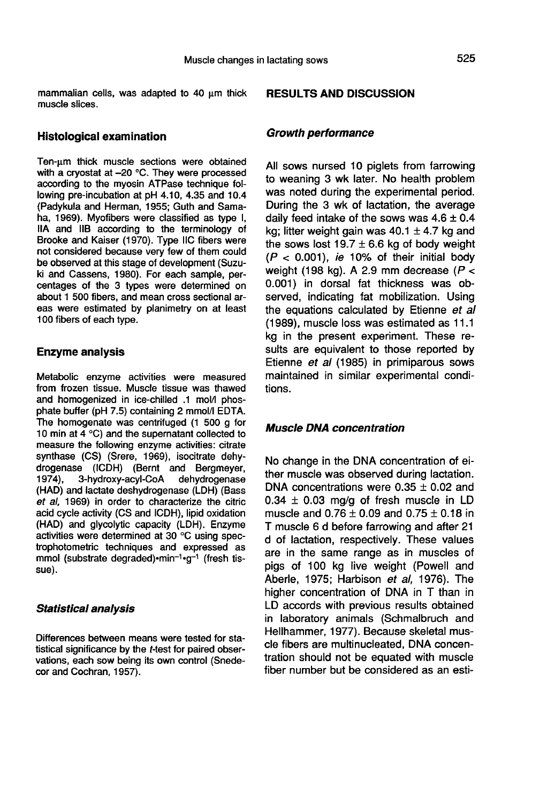mammalian cells, was adapted to 40 um thick muscle slices.

#### Histological examination

Ten-um thick muscle sections were obtained with a cryostat at -20 °C. They were processed according to the myosin ATPase technique following pre-incubation at pH 4.10, 4.35 and 10.4 (Padykula and Herman, 1955; Guth and Samaha, 1969). Myofibers were classified as type I, IIA and IIB according to the terminology of Brooke and Kaiser (1970). Type IIC fibers were not considered because very few of them could be observed at this stage of development (Suzuki and Cassens, 1980). For each sample, percentages of the 3 types were determined on about 1 500 fibers, and mean cross sectional areas were estimated by planimetry on at least 100 fibers of each type.

# Enzyme analysis

Metabolic enzyme activities were measured from frozen tissue. Muscle tissue was thawed and homogenized in ice-chilled .1 mol/l phosphate buffer (pH 7.5) containing 2 mmol/I EDTA. The homogenate was centrifuged (1 500 g for 10 min at 4 °C) and the supernatant collected to measure the following enzyme activities: citrate synthase (CS) (Srere, 1969), isocitrate dehydrogenase (ICDH) (Bernt and Bergmeyer,<br>1974), 3-hydroxy-acyl-CoA dehydrogenase 1974), 3-hydroxy-acyl-CoA dehydrogenase (HAD) and lactate deshydrogenase (LDH) (Bass et al, 1969) in order to characterize the citric acid cycle activity (CS and ICDH), lipid oxidation (HAD) and glycolytic capacity (LDH). Enzyme activities were determined at 30 °C using spectrophotometric techniques and expressed as<br>mmol (substrate degraded)• $min^{-1}$ • $gr^{-1}$  (fresh tissynthase (CS) (Srere, 1969), isocitrate dehy-<br>drogenase (ICDH) (Bernt and Bergmeyer,<br>1974), 3-hydroxy-acyl-CoA dehydrogenase<br>(HAD) and lactate deshydrogenase (LDH) (Bass<br>et al, 1969) in order to characterize the citric<br>aci sue).

#### Statistical analysis

Differences between means were tested for statistical significance by the t-test for paired observations, each sow being its own control (Snede cor and Cochran, 1957).

#### RESULTS AND DISCUSSION

#### Growth performance

All sows nursed 10 piglets from farrowing to weaning 3 wk later. No health problem was noted during the experimental period. During the 3 wk of lactation, the average daily feed intake of the sows was  $4.6 \pm 0.4$ kg; litter weight gain was  $40.1 \pm 4.7$  kg and the sows lost  $19.7 \pm 6.6$  kg of body weight  $(P < 0.001)$ , ie 10% of their initial body weight (198 kg). A 2.9 mm decrease ( $P <$ 0.001) in dorsal fat thickness was observed, indicating fat mobilization. Using the equations calculated by Etienne et al (1989), muscle loss was estimated as 11.1 1 kg in the present experiment. These results are equivalent to those reported by Etienne et al (1985) in primiparous sows maintained in similar experimental conditions.

#### Muscle DNA concentration

No change in the DNA concentration of either muscle was observed during lactation. DNA concentrations were  $0.35 \pm 0.02$  and  $0.34 \pm 0.03$  mg/g of fresh muscle in LD muscle and  $0.76 \pm 0.09$  and  $0.75 \pm 0.18$  in T muscle 6 d before farrowing and after 21 d of lactation, respectively. These values are in the same range as in muscles of pigs of 100 kg live weight (Powell and Aberle, 1975; Harbison et al, 1976). The higher concentration of DNA in T than in LD accords with previous results obtained in laboratory animals (Schmalbruch and Hellhammer, 1977). Because skeletal muscle fibers are multinucleated, DNA concentration should not be equated with muscle fiber number but be considered as an esti-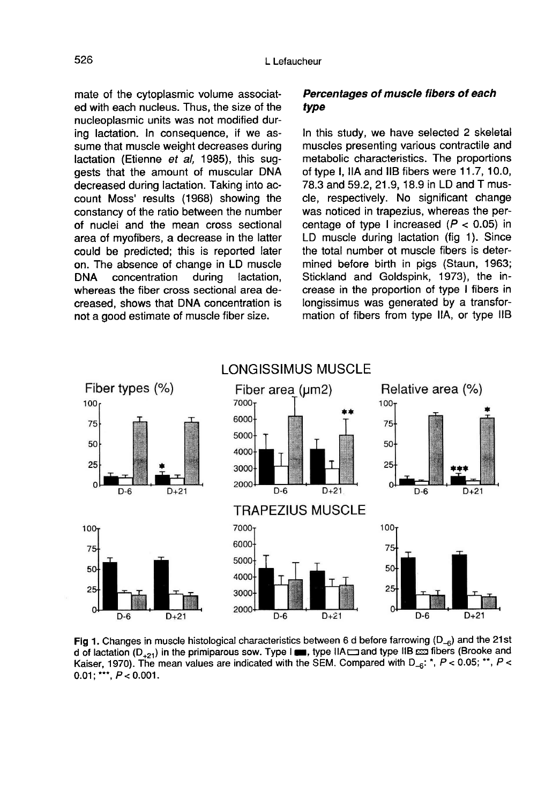mate of the cytoplasmic volume associated with each nucleus. Thus, the size of the nucleoplasmic units was not modified during lactation. In consequence, if we assume that muscle weight decreases during lactation (Etienne et al, 1985), this suggests that the amount of muscular DNA decreased during lactation. Taking into account Moss' results (1968) showing the constancy of the ratio between the number of nuclei and the mean cross sectional area of myofibers, a decrease in the latter could be predicted; this is reported later on. The absence of change in LD muscle<br>DNA concentration during lactation, concentration whereas the fiber cross sectional area decreased, shows that DNA concentration is not a good estimate of muscle fiber size.

# Percentages of muscle fibers of each type

In this study, we have selected 2 skeletal muscles presenting various contractile and metabolic characteristics. The proportions of type I, IIA and IIB fibers were 11.7, 10.0, 78.3 and 59.2, 21.9, 18.9 in LD and T muscle, respectively. No significant change was noticed in trapezius, whereas the percentage of type I increased  $(P < 0.05)$  in LD muscle during lactation (fig 1). Since the total number ot muscle fibers is determined before birth in pigs (Staun, 1963; Stickland and Goldspink, 1973), the increase in the proportion of type I fibers in longissimus was generated by a transformation of fibers from type IIA, or type IIB

Fiber types (%) Relative area (%) Fiber area (µm2) 7000  $100<sub>1</sub>$  $100<sub>1</sub>$ 6000 75  $75 -$ 5000 50 50 4000 25 25 3000  $\Omega$ 2000  $D+21$  $D-6$  $D-6$  $D+21$  $D-6$  $D+21$ **TRAPEZIUS MUSCLE**  $100<sub>1</sub>$ 7000-100 6000 75 75 5000 50 50 4000  $25$ 25 3000 2000  $D-6$  $D+21$  $D - 6$  $D+21$  $D-6$  $D+21$ 

**LONGISSIMUS MUSCLE** 

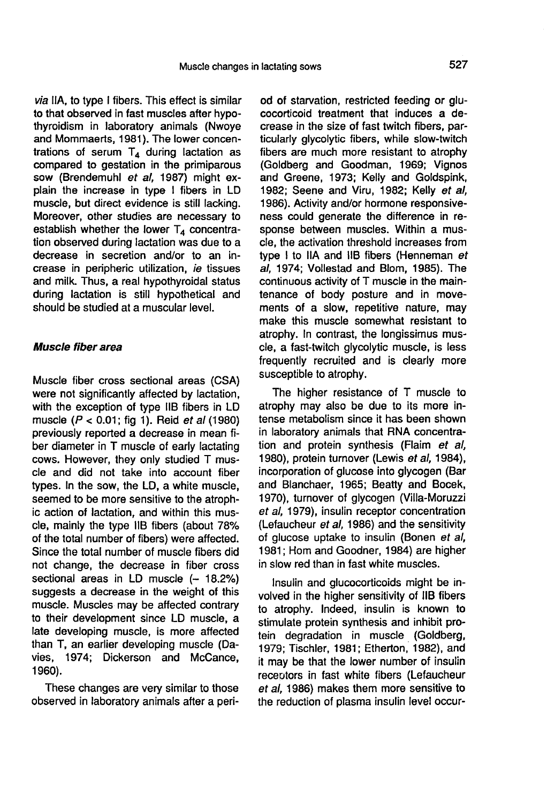via IIA, to type I fibers. This effect is similar to that observed in fast muscles after hypothyroidism in laboratory animals (Nwoye and Mommaerts, 1981). The lower concentrations of serum  $T_4$  during lactation as<br>compared to gestation in the primiparous sow (Brendemuhl et al, 1987) might explain the increase in type I fibers in LD muscle, but direct evidence is still lacking. Moreover, other studies are necessary to establish whether the lower  $T<sub>4</sub>$  concentration observed during lactation was due to a decrease in secretion and/or to an increase in peripheric utilization, ie tissues and milk. Thus, a real hypothyroidal status during lactation is still hypothetical and should be studied at a muscular level.

#### Muscle fiber area

Muscle fiber cross sectional areas (CSA) were not significantly affected by lactation, with the exception of type IIB fibers in LD muscle ( $P < 0.01$ ; fig 1). Reid *et al* (1980) previously reported a decrease in mean fiber diameter in T muscle of early lactating cows. However, they only studied T muscle and did not take into account fiber types. In the sow, the LD, a white muscle, seemed to be more sensitive to the atrophic action of lactation, and within this muscle, mainly the type IIB fibers (about 78% of the total number of fibers) were affected. Since the total number of muscle fibers did not change, the decrease in fiber cross sectional areas in LD muscle  $(-18.2%)$ suggests a decrease in the weight of this muscle. Muscles may be affected contrary to their development since LD muscle, a late developing muscle, is more affected than T, an earlier developing muscle (Davies, 1974; Dickerson and McCance, 1960).

These changes are very similar to those observed in laboratory animals after a peri-

od of starvation, restricted feeding or glucocorticoid treatment that induces a decrease in the size of fast twitch fibers, particularly glycolytic fibers, while slow-twitch fibers are much more resistant to atrophy (Goldberg and Goodman, 1969; Vignos and Greene, 1973; Kelly and Goldspink, 1982; Seene and Viru, 1982; Kelly et al. 1986). Activity and/or hormone responsive ness could generate the difference in response between muscles. Within a muscle, the activation threshold increases from type I to IIA and IIB fibers (Henneman et al, 1974; Vollestad and Blom, 1985). The continuous activity of T muscle in the maintenance of body posture and in movements of a slow, repetitive nature, may make this muscle somewhat resistant to atrophy. In contrast, the longissimus muscle, a fast-twitch glycolytic muscle, is less frequently recruited and is clearly more susceptible to atrophy.

The higher resistance of T muscle to atrophy may also be due to its more intense metabolism since it has been shown in laboratory animals that RNA concentration and protein synthesis (Flaim et al, 1980), protein turnover (Lewis et al, 1984), incorporation of glucose into glycogen (Bar and Blanchaer, 1965; Beatty and Bocek, 1970), turnover of glycogen (Villa-Moruzzi et al, 1979), insulin receptor concentration (Lefaucheur et al, 1986) and the sensitivity of glucose uptake to insulin (Bonen et al, 1981; Hom and Goodner, 1984) are higher in slow red than in fast white muscles.

Insulin and glucocorticoids might be involved in the higher sensitivity of IIB fibers to atrophy. Indeed, insulin is known to stimulate protein synthesis and inhibit protein degradation in muscle (Goldberg, 1979; Tischler, 1981; Etherton, 1982), and it may be that the lower number of insulin receptors in fast white fibers (Lefaucheur et al, 1986) makes them more sensitive to the reduction of plasma insulin level occur-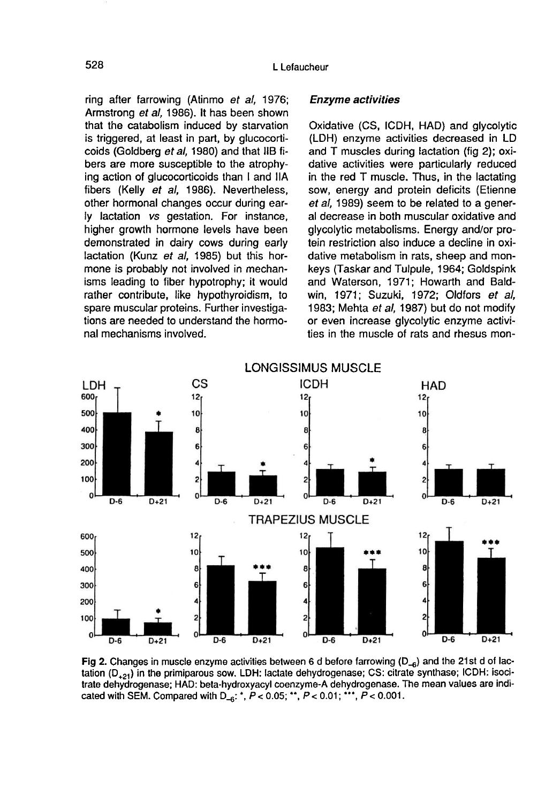ring after farrowing (Atinmo et al, 1976; Armstrong et al, 1986). It has been shown that the catabolism induced by starvation is triggered, at least in part, by glucocorticoids (Goldberg et al, 1980) and that IIB fibers are more susceptible to the atrophying action of glucocorticoids than I and IIA fibers (Kelly et al, 1986). Nevertheless, other hormonal changes occur during early lactation vs gestation. For instance, higher growth hormone levels have been demonstrated in dairy cows during early lactation (Kunz et al, 1985) but this hormone is probably not involved in mechanisms leading to fiber hypotrophy; it would rather contribute, like hypothyroidism, to spare muscular proteins. Further investigations are needed to understand the hormonal mechanisms involved.

#### Enzyme activities

Oxidative (CS, ICDH, HAD) and glycolytic (LDH) enzyme activities decreased in LD and T muscles during lactation (fig 2); oxidative activities were particularly reduced in the red T muscle. Thus, in the lactating sow, energy and protein deficits (Etienne et al, 1989) seem to be related to a general decrease in both muscular oxidative and glycolytic metabolisms. Energy and/or protein restriction also induce a decline in oxidative metabolism in rats, sheep and monkeys (Taskar and Tulpule, 1964; Goldspink and Waterson, 1971; Howarth and Baldwin, 1971; Suzuki, 1972; Oldfors et al, 1983; Mehta et al, 1987) but do not modify or even increase glycolytic enzyme activities in the muscle of rats and rhesus mon-



Fig 2. Changes in muscle enzyme activities between 6 d before farrowing ( $D_{-6}$ ) and the 21st d of lactation  $(D_{221})$  in the primiparous sow. LDH: lactate dehydrogenase; CS: citrate synthase; ICDH: isocitrate dehydrogenase; HAD: beta-hydroxyacyl coenzyme-A dehydrogenase. The mean values are indicated with SEM. Compared with  $D_{-6}$ ; \*,  $P < 0.05$ ; \*\*,  $P < 0.01$ ; \*\*\*,  $P < 0.001$ .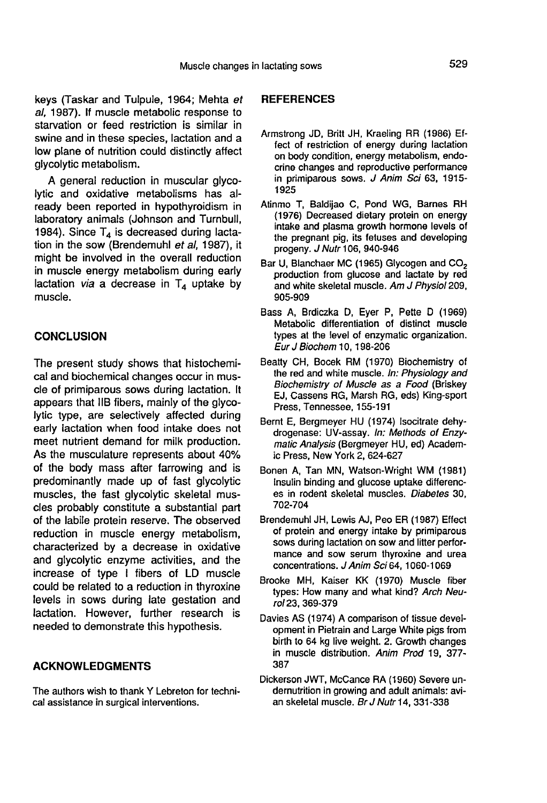keys (Taskar and Tulpule, 1964; Mehta et al, 1987). If muscle metabolic response to starvation or feed restriction is similar in swine and in these species, lactation and a low plane of nutrition could distinctly affect glycolytic metabolism.

A general reduction in muscular glycolytic and oxidative metabolisms has already been reported in hypothyroidism in laboratory animals (Johnson and Turnbull, 1984). Since  $T_4$  is decreased during lactation in the sow (Brendemuhl et al, 1987), it might be involved in the overall reduction in muscle energy metabolism during early lactation via a decrease in  $T<sub>4</sub>$  uptake by muscle.

# **CONCLUSION**

The present study shows that histochemical and biochemical changes occur in muscle of primiparous sows during lactation. It appears that HB fibers, mainly of the glycolytic type, are selectively affected during early lactation when food intake does not meet nutrient demand for milk production. As the musculature represents about 40% of the body mass after farrowing and is predominantly made up of fast glycolytic muscles, the fast glycolytic skeletal muscles probably constitute a substantial part of the labile protein reserve. The observed reduction in muscle energy metabolism, characterized by a decrease in oxidative and glycolytic enzyme activities, and the increase of type I fibers of LD muscle could be related to a reduction in thyroxine levels in sows during late gestation and lactation. However, further research is needed to demonstrate this hypothesis.

# ACKNOWLEDGMENTS

The authors wish to thank Y Lebreton for technical assistance in surgical interventions.

#### **REFERENCES**

- Armstrong JD, Britt JH, Kraeling RR (1986) Effect of restriction of energy during lactation on body condition, energy metabolism, endocrine changes and reproductive performance in primiparous sows. J Anim Sci 63, 1915- 1925
- Atinmo T, Baldijao C, Pond WG, Barnes RH (1976) Decreased dietary protein on energy intake and plasma growth hormone levels of the pregnant pig, its fetuses and developing progeny. J Nutr 106, 940-946
- Bar U, Blanchaer MC (1965) Glycogen and CO<sub>2</sub> production from glucose and lactate by red and white skeletal muscle. Am J Physiol 209, 905-909
- Bass A, Brdiczka D, Eyer P, Pette D (1969) Metabolic differentiation of distinct muscle types at the level of enzymatic organization. Eur J Biochem 10, 198-206
- Beatty CH, Bocek RM (1970) Biochemistry of the red and white muscle. In: Physiology and Biochemistry of Muscle as a Food (Briskey EJ, Cassens RG, Marsh RG, eds) King-sport Press, Tennessee, 155-191
- Bernt E, Bergmeyer HU (1974) Isocitrate dehydrogenase: UV-assay. In: Methods of Enzymatic Analysis (Bergmeyer HU, ed) Academic Press, New York 2, 624-627
- Bonen A, Tan MN, Watson-Wright WM (1981) Insulin binding and glucose uptake differences in rodent skeletal muscles. Diabetes 30, 702-704
- Brendemuhl JH, Lewis AJ, Peo ER (1987) Effect of protein and energy intake by primiparous sows during lactation on sow and litter perfor mance and sow serum thyroxine and urea concentrations. J Anim Sci 64, 1060-1069
- Brooke MH, Kaiser KK (1970) Muscle fiber types: How many and what kind? Arch Neuro123, 369-379
- Davies AS (1974) A comparison of tissue development in Pietrain and Large White pigs from birth to 64 kg live weight. 2. Growth changes in muscle distribution. Anim Prod 19, 377- 387
- Dickerson JWT, McCance RA (1960) Severe undernutrition in growing and adult animals: avian skeletal muscle. Br J Nutr 14, 331-338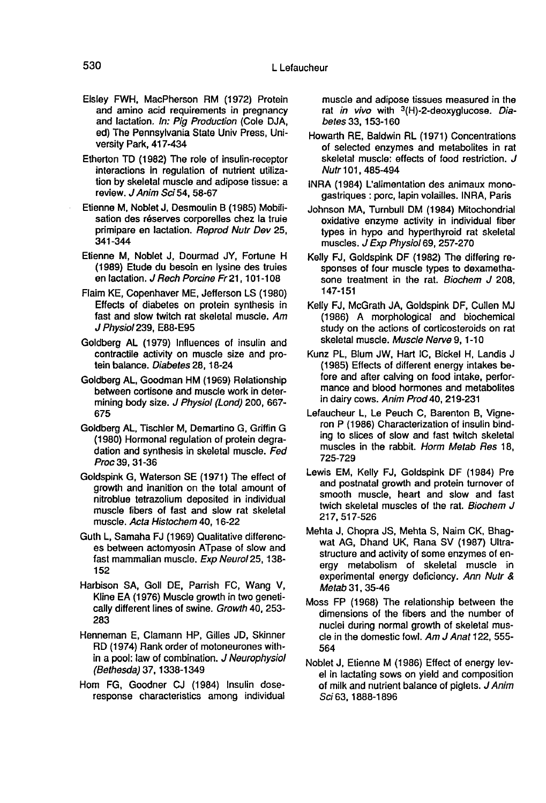- Elsley FWH, MacPherson RM (1972) Protein and amino acid requirements in pregnancy and lactation. In: Pig Production (Cole DJA, ed) The Pennsylvania State Univ Press, University Park, 417-434
- Etherton TD (1982) The role of insulin-receptor interactions in regulation of nutrient utilization by skeletal muscle and adipose tissue: a review. J Anim Sci 54, 58-67
- . Etienne M, Noblet J, Desmoulin B (1985) Mobilisation des réserves corporelles chez la truie primipare en lactation. Reprod Nutr Dev 25, 341-344
- Etienne M, Noblet J, Dourmad JY, Fortune H (1989) Etude du besoin en lysine des truies en lactation. J Rech Porcine Fr 21, 101-108
- Flaim KE, Copenhaver ME, Jefferson LS (1980) Effects of diabetes on protein synthesis in fast and slow twitch rat skeletal muscle. Am J Physiol239, E88-E95
- Goldberg AL (1979) Influences of insulin and contractile activity on muscle size and protein balance. Diabetes 28, 18-24
- Goldberg AL, Goodman HM (1969) Relationship between cortisone and muscle work in determining body size. J Physiol (Lond) 200, 667- 675
- Goldberg AL, Tischler M, Demartino G, Griffin G (1980) Hormonal regulation of protein degradation and synthesis in skeletal muscle. Fed Proc 39, 31-36
- Goldspink G, Waterson SE (1971) The effect of growth and inanition on the total amount of nitroblue tetrazolium deposited in individual muscle fibers of fast and slow rat skeletal muscle. Acta Histochem 40, 16-22
- Guth L, Samaha FJ (1969) Qualitative differences between actomyosin ATpase of slow and fast mammalian muscle. Exp Neurol25, 138- 152
- Harbison SA, Goll DE, Parrish FC, Wang V, Kline EA (1976) Muscle growth in two genetically different lines of swine. Growth 40, 253- 283
- Henneman E, Clamann HP, Gilles JD, Skinner RD (1974) Rank order of motoneurones within a pool: law of combination. J Neurophysiol (Bethesda) 37, 1338-1349
- Hom FG, Goodner CJ (1984) Insulin doseresponse characteristics among individual

muscle and adipose tissues measured in the rat in vivo with  $3(H)$ -2-deoxyglucose. *Dia-*<sup>1</sup><br>muscle and adipose tissues measured in the<br>rat *in vivo* with <sup>3</sup>(H)-2-deoxyglucose. *Dia-<br>betes* 33, 153-160<br>warth RE, Baldwin RL (1971) Concentrations betes 33, 153-160

- Howarth RE, Baldwin RL (1971) Concentrations of selected enzymes and metabolites in rat skeletal muscle: effects of food restriction. J Nutr 101, 485-494
- INRA (1984) L'alimentation des animaux monogastriques : pore, lapin volailles. INRA, Paris
- Johnson MA, Turnbull DM (1984) Mitochondrial oxidative enzyme activity in individual fiber types in hypo and hyperthyroid rat skeletal muscles. J Exp Physiol 69, 257-270
- Kelly FJ, Goldspink DF (1982) The differing responses of four muscle types to dexamethasone treatment in the rat. Biochem J 208, 147-151
- Kelly FJ, McGrath JA, Goldspink DF, Cullen MJ (1986) A morphological and biochemical study on the actions of corticosteroids on rat skeletal muscle. Muscle Nerve 9, 1-10
- Kunz PL, Blum JW, Hart IC, Bickel H, Landis J (1985) Effects of different energy intakes before and after calving on food intake, perfor mance and blood hormones and metabolites in dairy cows. Anim Prod 40, 219-231
- Lefaucheur L, Le Peuch C, Barenton B, Vigne ron P (1986) Characterization of insulin binding to slices of slow and fast twitch skeletal muscles in the rabbit. Horm Metab Res 18, 725-729
- Lewis EM, Kelly FJ, Goldspink DF (1984) Pre and postnatal growth and protein turnover of smooth muscle, heart and slow and fast twich skeletal muscles of the rat. Biochem J 217, 517-526
- Mehta J, Chopra JS, Mehta S, Naim CK, Bhag- wat AG, Dhand UK, Rana SV (1987) Ultrastructure and activity of some enzymes of energy metabolism of skeletal muscle in experimental energy deficiency. Ann Nutr & Metab 31, 35-46
- Moss FP (1968) The relationship between the dimensions of the fibers and the number of nuclei during normal growth of skeletal muscle in the domestic fowl. Am J Anat 122, 555- 564
- Noblet J, Etienne M (1986) Effect of energy level in lactating sows on yield and composition of milk and nutrient balance of piglets. JAnim Sci 63, 1888-1896